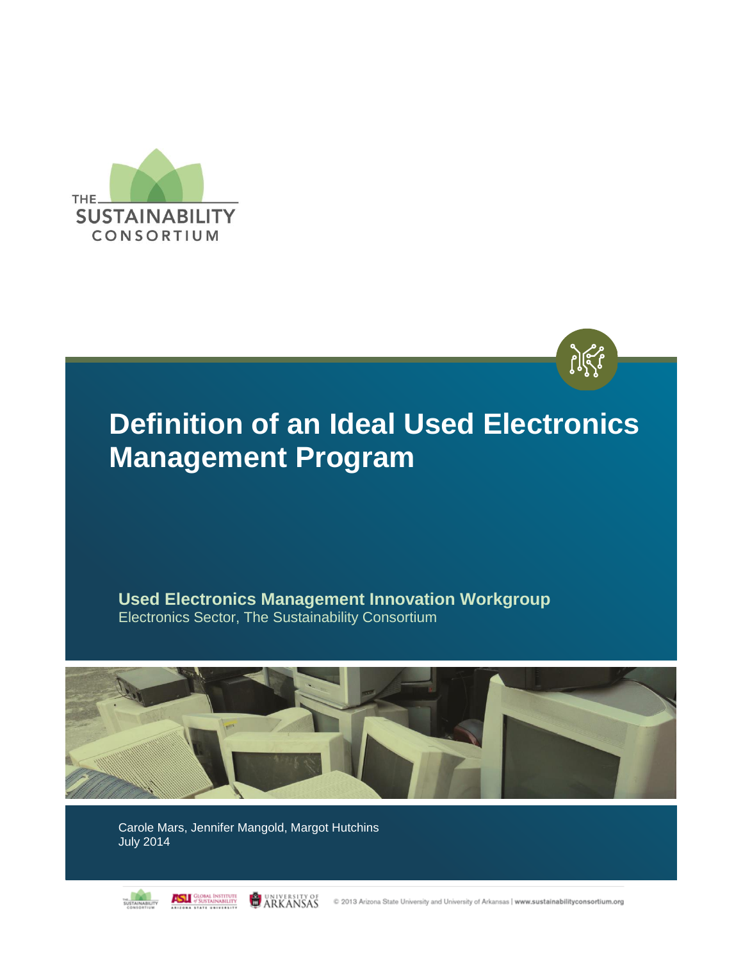



**Used Electronics Management Innovation Workgroup** Electronics Sector, The Sustainability Consortium



Carole Mars, Jennifer Mangold, Margot Hutchins July 2014



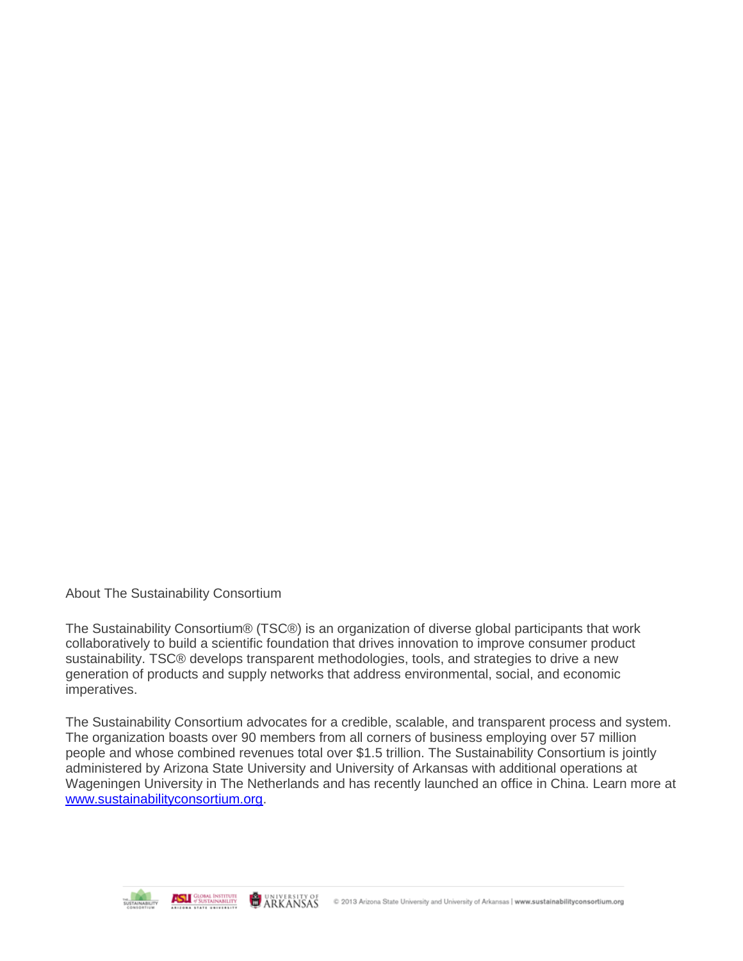About The Sustainability Consortium

The Sustainability Consortium® (TSC®) is an organization of diverse global participants that work collaboratively to build a scientific foundation that drives innovation to improve consumer product sustainability. TSC® develops transparent methodologies, tools, and strategies to drive a new generation of products and supply networks that address environmental, social, and economic imperatives.

The Sustainability Consortium advocates for a credible, scalable, and transparent process and system. The organization boasts over 90 members from all corners of business employing over 57 million people and whose combined revenues total over \$1.5 trillion. The Sustainability Consortium is jointly administered by Arizona State University and University of Arkansas with additional operations at Wageningen University in The Netherlands and has recently launched an office in China. Learn more at [www.sustainabilityconsortium.org.](http://www.sustainabilityconsortium.org/)

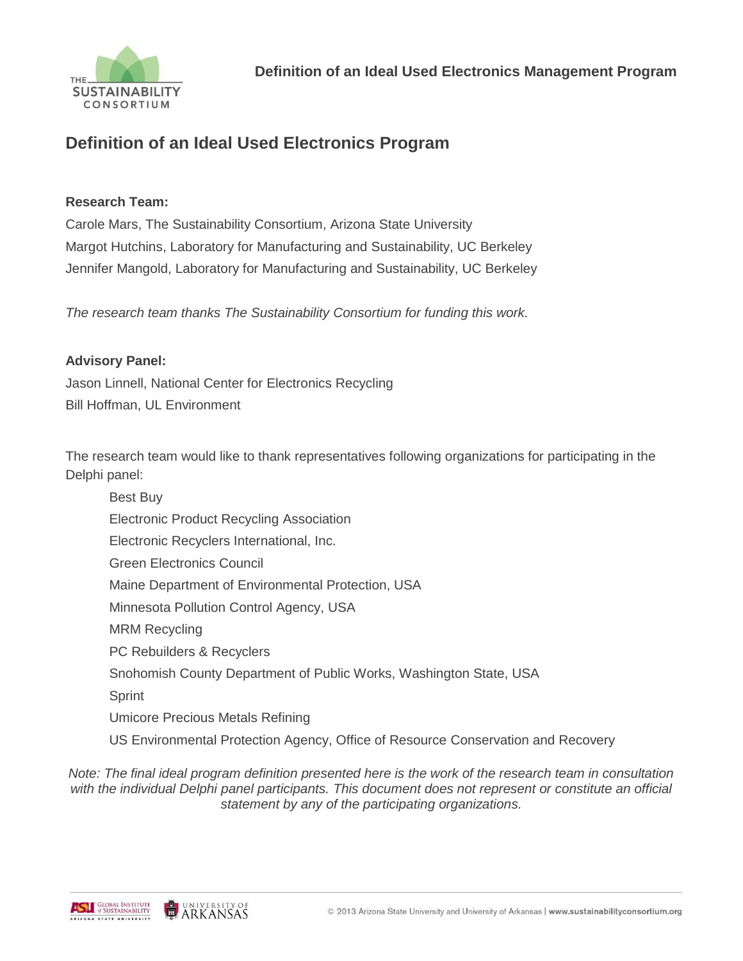

# **Definition of an Ideal Used Electronics Program**

#### **Research Team:**

Carole Mars, The Sustainability Consortium, Arizona State University Margot Hutchins, Laboratory for Manufacturing and Sustainability, UC Berkeley Jennifer Mangold, Laboratory for Manufacturing and Sustainability, UC Berkeley

*The research team thanks The Sustainability Consortium for funding this work.* 

#### **Advisory Panel:**

Jason Linnell, National Center for Electronics Recycling Bill Hoffman, UL Environment

The research team would like to thank representatives following organizations for participating in the Delphi panel:

| <b>Best Buy</b>                                                                  |
|----------------------------------------------------------------------------------|
| <b>Electronic Product Recycling Association</b>                                  |
| Electronic Recyclers International, Inc.                                         |
| <b>Green Electronics Council</b>                                                 |
| Maine Department of Environmental Protection, USA                                |
| Minnesota Pollution Control Agency, USA                                          |
| <b>MRM Recycling</b>                                                             |
| PC Rebuilders & Recyclers                                                        |
| Snohomish County Department of Public Works, Washington State, USA               |
| Sprint                                                                           |
| Umicore Precious Metals Refining                                                 |
| US Environmental Protection Agency, Office of Resource Conservation and Recovery |

*Note: The final ideal program definition presented here is the work of the research team in consultation*  with the individual Delphi panel participants. This document does not represent or constitute an official *statement by any of the participating organizations.* 



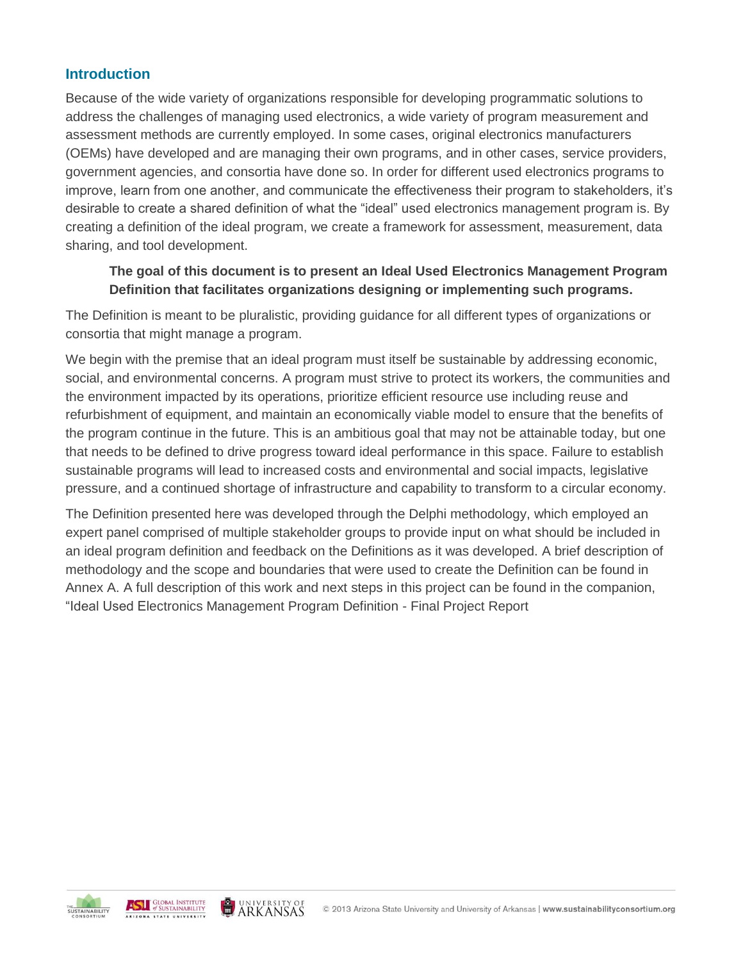### **Introduction**

Because of the wide variety of organizations responsible for developing programmatic solutions to address the challenges of managing used electronics, a wide variety of program measurement and assessment methods are currently employed. In some cases, original electronics manufacturers (OEMs) have developed and are managing their own programs, and in other cases, service providers, government agencies, and consortia have done so. In order for different used electronics programs to improve, learn from one another, and communicate the effectiveness their program to stakeholders, it's desirable to create a shared definition of what the "ideal" used electronics management program is. By creating a definition of the ideal program, we create a framework for assessment, measurement, data sharing, and tool development.

#### **The goal of this document is to present an Ideal Used Electronics Management Program Definition that facilitates organizations designing or implementing such programs.**

The Definition is meant to be pluralistic, providing guidance for all different types of organizations or consortia that might manage a program.

We begin with the premise that an ideal program must itself be sustainable by addressing economic, social, and environmental concerns. A program must strive to protect its workers, the communities and the environment impacted by its operations, prioritize efficient resource use including reuse and refurbishment of equipment, and maintain an economically viable model to ensure that the benefits of the program continue in the future. This is an ambitious goal that may not be attainable today, but one that needs to be defined to drive progress toward ideal performance in this space. Failure to establish sustainable programs will lead to increased costs and environmental and social impacts, legislative pressure, and a continued shortage of infrastructure and capability to transform to a circular economy.

The Definition presented here was developed through the Delphi methodology, which employed an expert panel comprised of multiple stakeholder groups to provide input on what should be included in an ideal program definition and feedback on the Definitions as it was developed. A brief description of methodology and the scope and boundaries that were used to create the Definition can be found in Annex A. A full description of this work and next steps in this project can be found in the companion, "Ideal Used Electronics Management Program Definition - Final Project Report

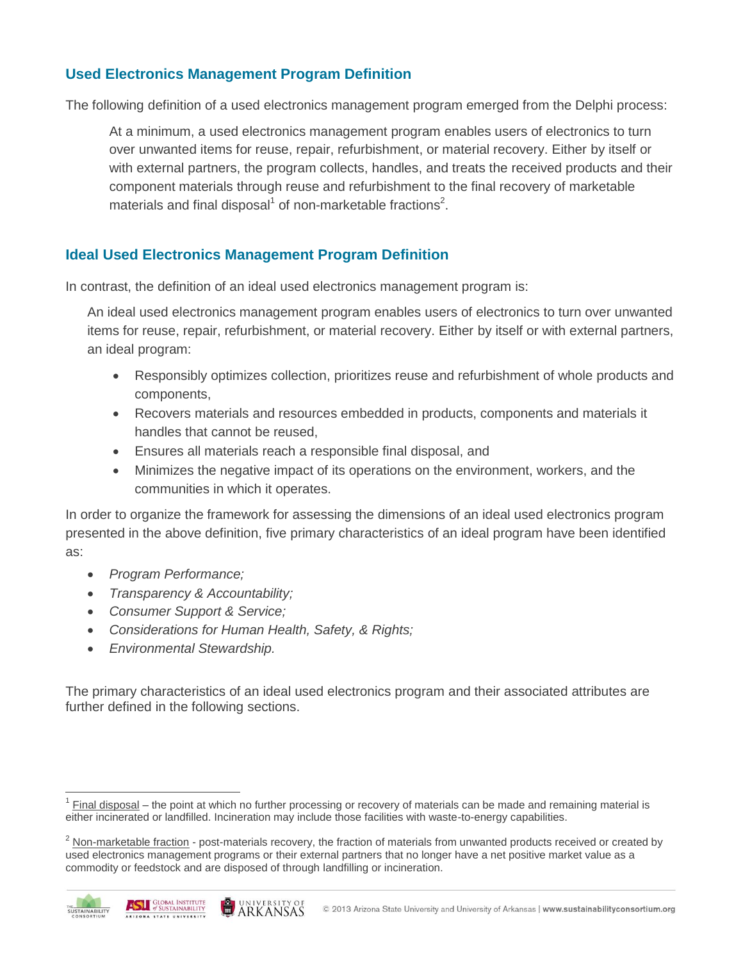# **Used Electronics Management Program Definition**

The following definition of a used electronics management program emerged from the Delphi process:

At a minimum, a used electronics management program enables users of electronics to turn over unwanted items for reuse, repair, refurbishment, or material recovery. Either by itself or with external partners, the program collects, handles, and treats the received products and their component materials through reuse and refurbishment to the final recovery of marketable materials and final disposal<sup>1</sup> of non-marketable fractions<sup>2</sup>.

### **Ideal Used Electronics Management Program Definition**

In contrast, the definition of an ideal used electronics management program is:

An ideal used electronics management program enables users of electronics to turn over unwanted items for reuse, repair, refurbishment, or material recovery. Either by itself or with external partners, an ideal program:

- Responsibly optimizes collection, prioritizes reuse and refurbishment of whole products and components,
- Recovers materials and resources embedded in products, components and materials it handles that cannot be reused,
- Ensures all materials reach a responsible final disposal, and
- Minimizes the negative impact of its operations on the environment, workers, and the communities in which it operates.

In order to organize the framework for assessing the dimensions of an ideal used electronics program presented in the above definition, five primary characteristics of an ideal program have been identified as:

- *Program Performance;*
- *Transparency & Accountability;*
- *Consumer Support & Service;*
- *Considerations for Human Health, Safety, & Rights;*
- *Environmental Stewardship.*

The primary characteristics of an ideal used electronics program and their associated attributes are further defined in the following sections.

<sup>&</sup>lt;sup>2</sup> Non-marketable fraction - post-materials recovery, the fraction of materials from unwanted products received or created by used electronics management programs or their external partners that no longer have a net positive market value as a commodity or feedstock and are disposed of through landfilling or incineration.



 $\overline{a}$ 



<sup>1</sup> Final disposal – the point at which no further processing or recovery of materials can be made and remaining material is either incinerated or landfilled. Incineration may include those facilities with waste-to-energy capabilities.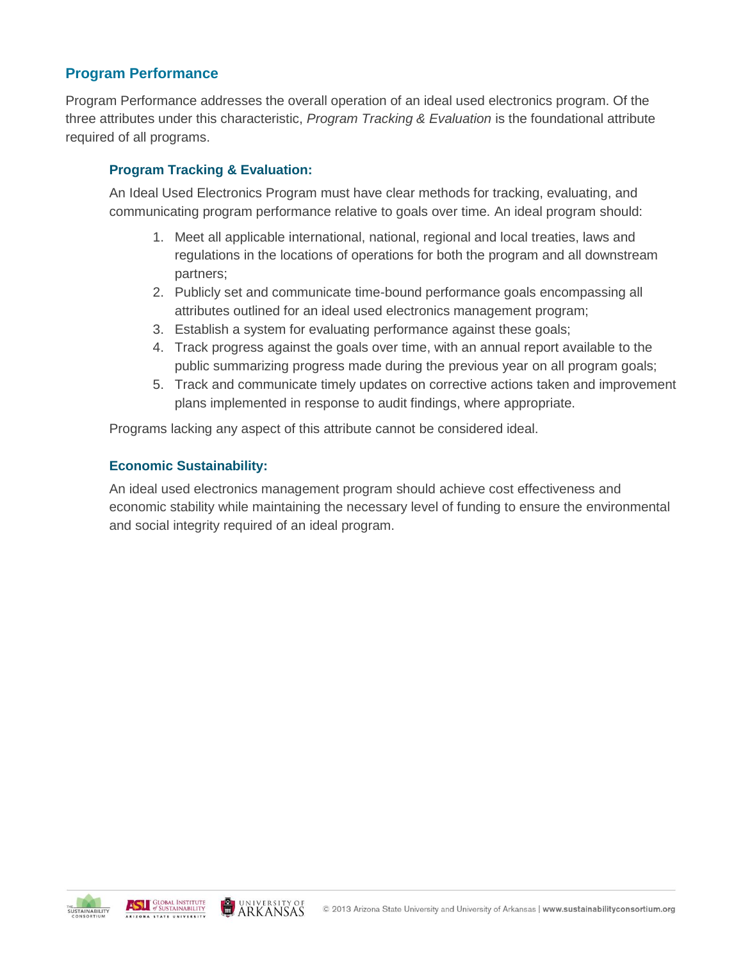# **Program Performance**

Program Performance addresses the overall operation of an ideal used electronics program. Of the three attributes under this characteristic, *Program Tracking & Evaluation* is the foundational attribute required of all programs.

### **Program Tracking & Evaluation:**

An Ideal Used Electronics Program must have clear methods for tracking, evaluating, and communicating program performance relative to goals over time. An ideal program should:

- 1. Meet all applicable international, national, regional and local treaties, laws and regulations in the locations of operations for both the program and all downstream partners;
- 2. Publicly set and communicate time-bound performance goals encompassing all attributes outlined for an ideal used electronics management program;
- 3. Establish a system for evaluating performance against these goals;
- 4. Track progress against the goals over time, with an annual report available to the public summarizing progress made during the previous year on all program goals;
- 5. Track and communicate timely updates on corrective actions taken and improvement plans implemented in response to audit findings, where appropriate.

Programs lacking any aspect of this attribute cannot be considered ideal.

#### **Economic Sustainability:**

An ideal used electronics management program should achieve cost effectiveness and economic stability while maintaining the necessary level of funding to ensure the environmental and social integrity required of an ideal program.

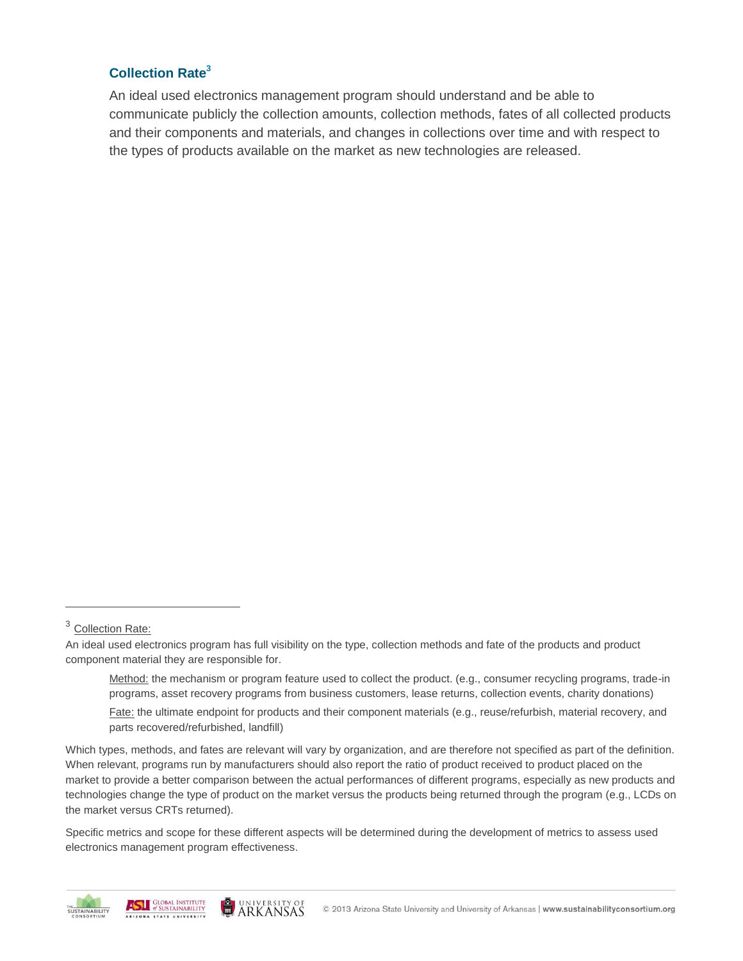#### **Collection Rate<sup>3</sup>**

An ideal used electronics management program should understand and be able to communicate publicly the collection amounts, collection methods, fates of all collected products and their components and materials, and changes in collections over time and with respect to the types of products available on the market as new technologies are released.

 $\overline{a}$ 

Specific metrics and scope for these different aspects will be determined during the development of metrics to assess used electronics management program effectiveness.





<sup>&</sup>lt;sup>3</sup> Collection Rate:

An ideal used electronics program has full visibility on the type, collection methods and fate of the products and product component material they are responsible for.

Method: the mechanism or program feature used to collect the product. (e.g., consumer recycling programs, trade-in programs, asset recovery programs from business customers, lease returns, collection events, charity donations)

Fate: the ultimate endpoint for products and their component materials (e.g., reuse/refurbish, material recovery, and parts recovered/refurbished, landfill)

Which types, methods, and fates are relevant will vary by organization, and are therefore not specified as part of the definition. When relevant, programs run by manufacturers should also report the ratio of product received to product placed on the market to provide a better comparison between the actual performances of different programs, especially as new products and technologies change the type of product on the market versus the products being returned through the program (e.g., LCDs on the market versus CRTs returned).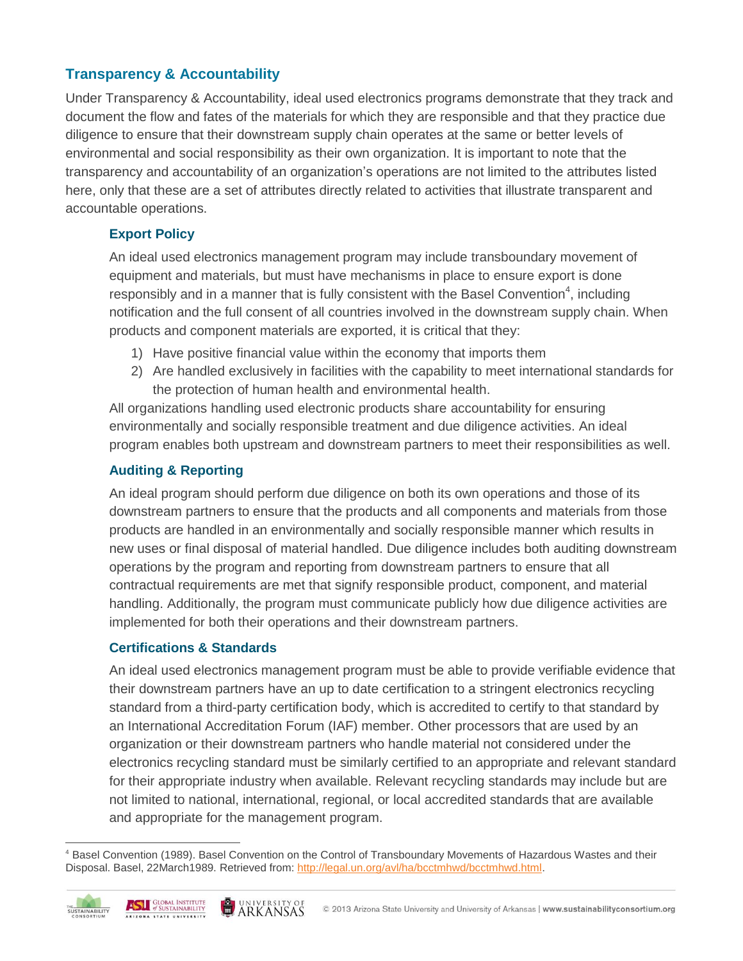# **Transparency & Accountability**

Under Transparency & Accountability, ideal used electronics programs demonstrate that they track and document the flow and fates of the materials for which they are responsible and that they practice due diligence to ensure that their downstream supply chain operates at the same or better levels of environmental and social responsibility as their own organization. It is important to note that the transparency and accountability of an organization's operations are not limited to the attributes listed here, only that these are a set of attributes directly related to activities that illustrate transparent and accountable operations.

# **Export Policy**

An ideal used electronics management program may include transboundary movement of equipment and materials, but must have mechanisms in place to ensure export is done responsibly and in a manner that is fully consistent with the Basel Convention<sup>4</sup>, including notification and the full consent of all countries involved in the downstream supply chain. When products and component materials are exported, it is critical that they:

- 1) Have positive financial value within the economy that imports them
- 2) Are handled exclusively in facilities with the capability to meet international standards for the protection of human health and environmental health.

All organizations handling used electronic products share accountability for ensuring environmentally and socially responsible treatment and due diligence activities. An ideal program enables both upstream and downstream partners to meet their responsibilities as well.

# **Auditing & Reporting**

An ideal program should perform due diligence on both its own operations and those of its downstream partners to ensure that the products and all components and materials from those products are handled in an environmentally and socially responsible manner which results in new uses or final disposal of material handled. Due diligence includes both auditing downstream operations by the program and reporting from downstream partners to ensure that all contractual requirements are met that signify responsible product, component, and material handling. Additionally, the program must communicate publicly how due diligence activities are implemented for both their operations and their downstream partners.

# **Certifications & Standards**

An ideal used electronics management program must be able to provide verifiable evidence that their downstream partners have an up to date certification to a stringent electronics recycling standard from a third-party certification body, which is accredited to certify to that standard by an International Accreditation Forum (IAF) member. Other processors that are used by an organization or their downstream partners who handle material not considered under the electronics recycling standard must be similarly certified to an appropriate and relevant standard for their appropriate industry when available. Relevant recycling standards may include but are not limited to national, international, regional, or local accredited standards that are available and appropriate for the management program.

 $\overline{a}$ <sup>4</sup> Basel Convention (1989). Basel Convention on the Control of Transboundary Movements of Hazardous Wastes and their Disposal. Basel, 22March1989. Retrieved from: [http://legal.un.org/avl/ha/bcctmhwd/bcctmhwd.html.](http://legal.un.org/avl/ha/bcctmhwd/bcctmhwd.html)

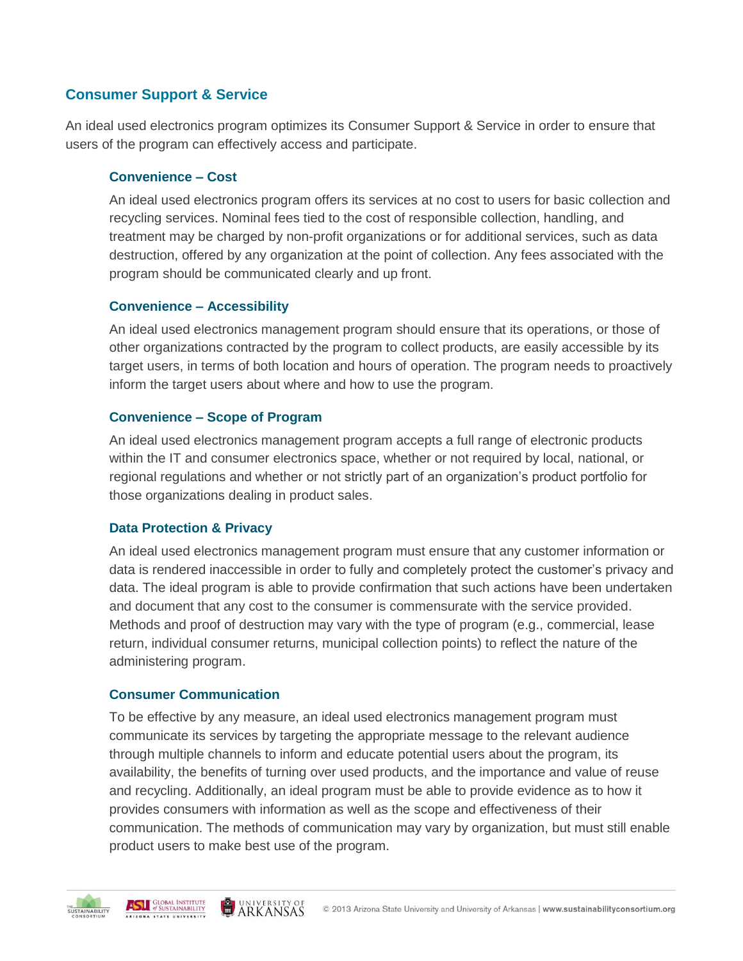# **Consumer Support & Service**

An ideal used electronics program optimizes its Consumer Support & Service in order to ensure that users of the program can effectively access and participate.

#### **Convenience – Cost**

An ideal used electronics program offers its services at no cost to users for basic collection and recycling services. Nominal fees tied to the cost of responsible collection, handling, and treatment may be charged by non-profit organizations or for additional services, such as data destruction, offered by any organization at the point of collection. Any fees associated with the program should be communicated clearly and up front.

#### **Convenience – Accessibility**

An ideal used electronics management program should ensure that its operations, or those of other organizations contracted by the program to collect products, are easily accessible by its target users, in terms of both location and hours of operation. The program needs to proactively inform the target users about where and how to use the program.

#### **Convenience – Scope of Program**

An ideal used electronics management program accepts a full range of electronic products within the IT and consumer electronics space, whether or not required by local, national, or regional regulations and whether or not strictly part of an organization's product portfolio for those organizations dealing in product sales.

#### **Data Protection & Privacy**

An ideal used electronics management program must ensure that any customer information or data is rendered inaccessible in order to fully and completely protect the customer's privacy and data. The ideal program is able to provide confirmation that such actions have been undertaken and document that any cost to the consumer is commensurate with the service provided. Methods and proof of destruction may vary with the type of program (e.g., commercial, lease return, individual consumer returns, municipal collection points) to reflect the nature of the administering program.

#### **Consumer Communication**

To be effective by any measure, an ideal used electronics management program must communicate its services by targeting the appropriate message to the relevant audience through multiple channels to inform and educate potential users about the program, its availability, the benefits of turning over used products, and the importance and value of reuse and recycling. Additionally, an ideal program must be able to provide evidence as to how it provides consumers with information as well as the scope and effectiveness of their communication. The methods of communication may vary by organization, but must still enable product users to make best use of the program.

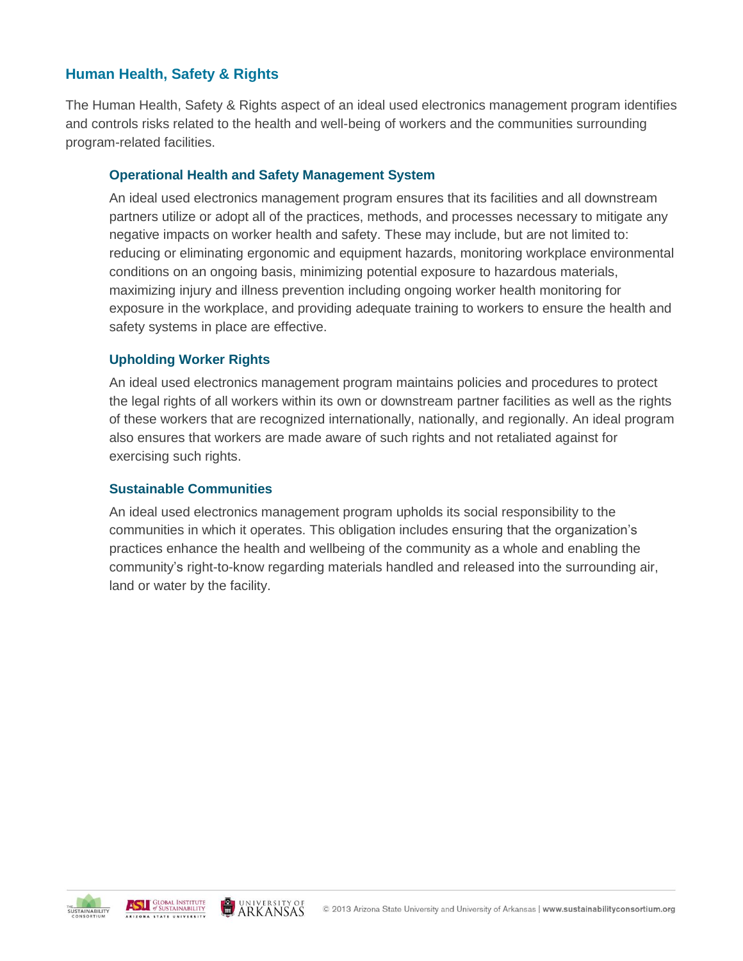# **Human Health, Safety & Rights**

The Human Health, Safety & Rights aspect of an ideal used electronics management program identifies and controls risks related to the health and well-being of workers and the communities surrounding program-related facilities.

#### **Operational Health and Safety Management System**

An ideal used electronics management program ensures that its facilities and all downstream partners utilize or adopt all of the practices, methods, and processes necessary to mitigate any negative impacts on worker health and safety. These may include, but are not limited to: reducing or eliminating ergonomic and equipment hazards, monitoring workplace environmental conditions on an ongoing basis, minimizing potential exposure to hazardous materials, maximizing injury and illness prevention including ongoing worker health monitoring for exposure in the workplace, and providing adequate training to workers to ensure the health and safety systems in place are effective.

#### **Upholding Worker Rights**

An ideal used electronics management program maintains policies and procedures to protect the legal rights of all workers within its own or downstream partner facilities as well as the rights of these workers that are recognized internationally, nationally, and regionally. An ideal program also ensures that workers are made aware of such rights and not retaliated against for exercising such rights.

#### **Sustainable Communities**

An ideal used electronics management program upholds its social responsibility to the communities in which it operates. This obligation includes ensuring that the organization's practices enhance the health and wellbeing of the community as a whole and enabling the community's right-to-know regarding materials handled and released into the surrounding air, land or water by the facility.

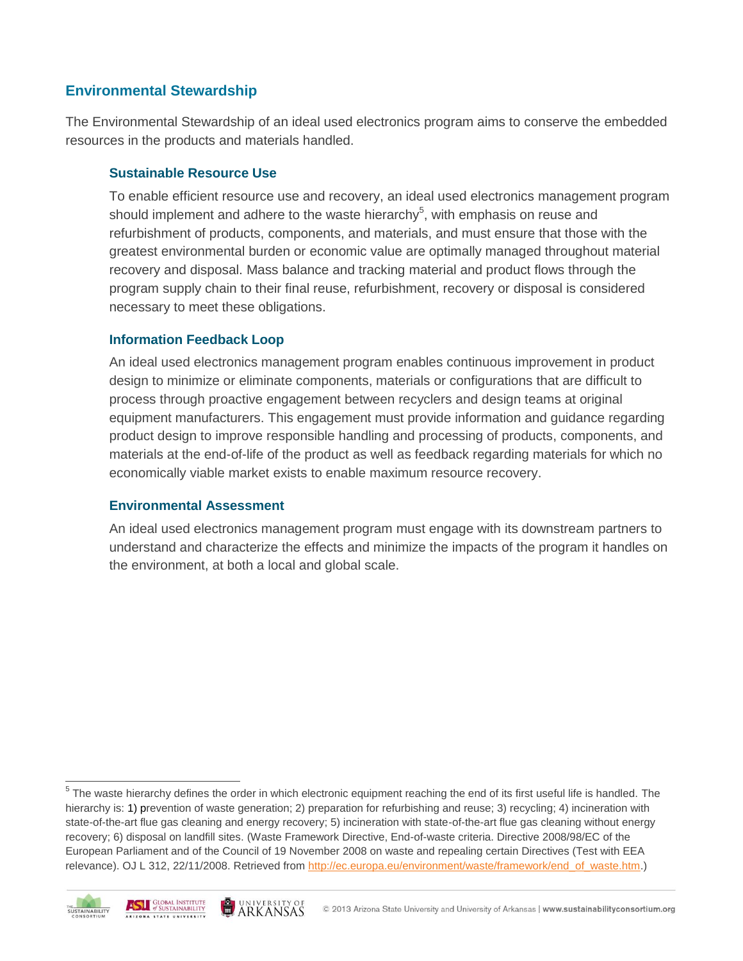## **Environmental Stewardship**

The Environmental Stewardship of an ideal used electronics program aims to conserve the embedded resources in the products and materials handled.

#### **Sustainable Resource Use**

To enable efficient resource use and recovery, an ideal used electronics management program should implement and adhere to the waste hierarchy<sup>5</sup>, with emphasis on reuse and refurbishment of products, components, and materials, and must ensure that those with the greatest environmental burden or economic value are optimally managed throughout material recovery and disposal. Mass balance and tracking material and product flows through the program supply chain to their final reuse, refurbishment, recovery or disposal is considered necessary to meet these obligations.

#### **Information Feedback Loop**

An ideal used electronics management program enables continuous improvement in product design to minimize or eliminate components, materials or configurations that are difficult to process through proactive engagement between recyclers and design teams at original equipment manufacturers. This engagement must provide information and guidance regarding product design to improve responsible handling and processing of products, components, and materials at the end-of-life of the product as well as feedback regarding materials for which no economically viable market exists to enable maximum resource recovery.

#### **Environmental Assessment**

An ideal used electronics management program must engage with its downstream partners to understand and characterize the effects and minimize the impacts of the program it handles on the environment, at both a local and global scale.

 $5$  The waste hierarchy defines the order in which electronic equipment reaching the end of its first useful life is handled. The hierarchy is: 1) prevention of waste generation; 2) preparation for refurbishing and reuse; 3) recycling; 4) incineration with state-of-the-art flue gas cleaning and energy recovery; 5) incineration with state-of-the-art flue gas cleaning without energy recovery; 6) disposal on landfill sites. (Waste Framework Directive, End-of-waste criteria. Directive 2008/98/EC of the European Parliament and of the Council of 19 November 2008 on waste and repealing certain Directives (Test with EEA relevance). OJ L 312, 22/11/2008. Retrieved from [http://ec.europa.eu/environment/waste/framework/end\\_of\\_waste.htm.](http://ec.europa.eu/environment/waste/framework/end_of_waste.htm))



 $\overline{a}$